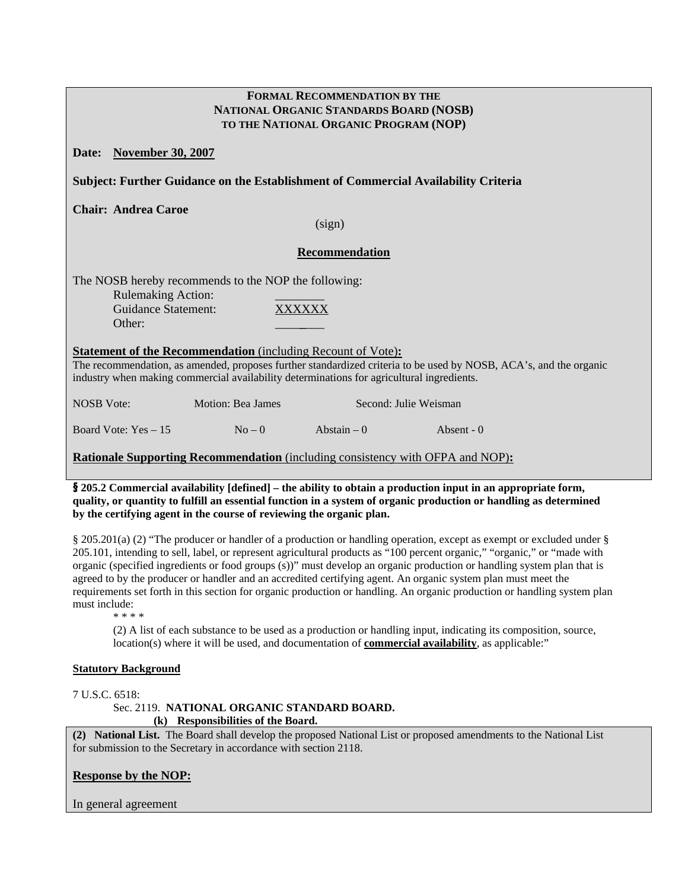| <b>FORMAL RECOMMENDATION BY THE</b><br>NATIONAL ORGANIC STANDARDS BOARD (NOSB)<br>TO THE NATIONAL ORGANIC PROGRAM (NOP)                                                                                                                                                               |  |  |  |  |  |  |
|---------------------------------------------------------------------------------------------------------------------------------------------------------------------------------------------------------------------------------------------------------------------------------------|--|--|--|--|--|--|
| <b>November 30, 2007</b><br>Date:                                                                                                                                                                                                                                                     |  |  |  |  |  |  |
| Subject: Further Guidance on the Establishment of Commercial Availability Criteria                                                                                                                                                                                                    |  |  |  |  |  |  |
| <b>Chair: Andrea Caroe</b><br>(sign)                                                                                                                                                                                                                                                  |  |  |  |  |  |  |
| Recommendation                                                                                                                                                                                                                                                                        |  |  |  |  |  |  |
| The NOSB hereby recommends to the NOP the following:<br><b>Rulemaking Action:</b><br><b>Guidance Statement:</b><br><b>XXXXXX</b><br>Other:                                                                                                                                            |  |  |  |  |  |  |
| <b>Statement of the Recommendation</b> (including Recount of Vote):<br>The recommendation, as amended, proposes further standardized criteria to be used by NOSB, ACA's, and the organic<br>industry when making commercial availability determinations for agricultural ingredients. |  |  |  |  |  |  |
| <b>NOSB</b> Vote:<br>Motion: Bea James<br>Second: Julie Weisman                                                                                                                                                                                                                       |  |  |  |  |  |  |
| Board Vote: Yes - 15<br>Abstain $-0$<br>$No-0$<br>Absent - $0$                                                                                                                                                                                                                        |  |  |  |  |  |  |
| <b>Rationale Supporting Recommendation</b> (including consistency with OFPA and NOP):                                                                                                                                                                                                 |  |  |  |  |  |  |

§ **205.2 Commercial availability [defined] – the ability to obtain a production input in an appropriate form, quality, or quantity to fulfill an essential function in a system of organic production or handling as determined by the certifying agent in the course of reviewing the organic plan.** 

§ 205.201(a) (2) "The producer or handler of a production or handling operation, except as exempt or excluded under § 205.101, intending to sell, label, or represent agricultural products as "100 percent organic," "organic," or "made with organic (specified ingredients or food groups (s))" must develop an organic production or handling system plan that is agreed to by the producer or handler and an accredited certifying agent. An organic system plan must meet the requirements set forth in this section for organic production or handling. An organic production or handling system plan must include:

\* \* \* \*

(2) A list of each substance to be used as a production or handling input, indicating its composition, source, location(s) where it will be used, and documentation of **commercial availability**, as applicable:"

#### **Statutory Background**

#### 7 U.S.C. 6518:

Sec. 2119. **NATIONAL ORGANIC STANDARD BOARD. (k) Responsibilities of the Board.** 

**(2) National List.** The Board shall develop the proposed National List or proposed amendments to the National List for submission to the Secretary in accordance with section 2118.

## **Response by the NOP:**

In general agreement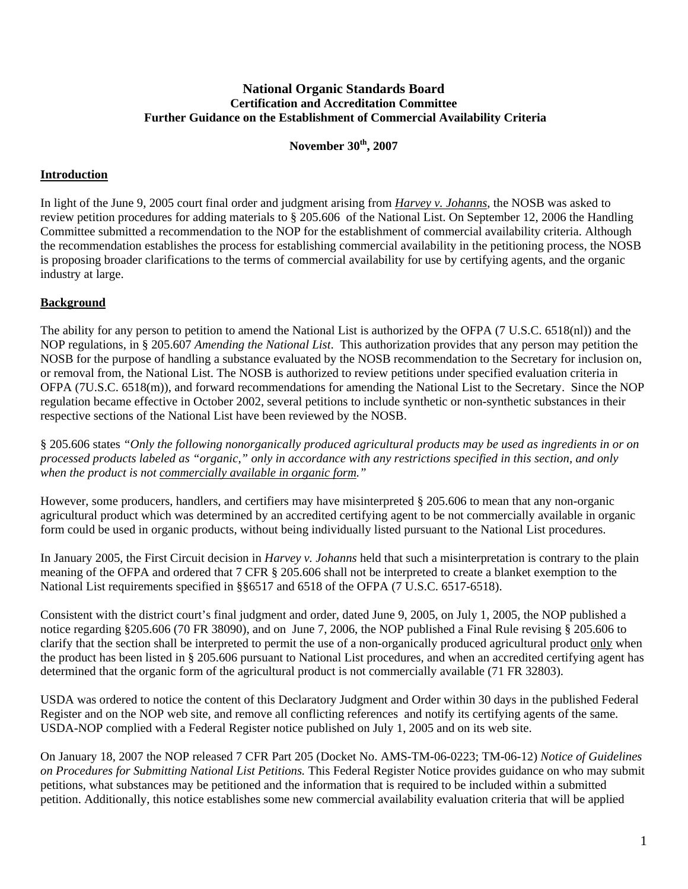## **National Organic Standards Board Certification and Accreditation Committee Further Guidance on the Establishment of Commercial Availability Criteria**

## **November 30th, 2007**

## **Introduction**

In light of the June 9, 2005 court final order and judgment arising from *Harvey v. Johanns*, the NOSB was asked to review petition procedures for adding materials to § 205.606 of the National List. On September 12, 2006 the Handling Committee submitted a recommendation to the NOP for the establishment of commercial availability criteria. Although the recommendation establishes the process for establishing commercial availability in the petitioning process, the NOSB is proposing broader clarifications to the terms of commercial availability for use by certifying agents, and the organic industry at large.

# **Background**

The ability for any person to petition to amend the National List is authorized by the OFPA (7 U.S.C. 6518(nl)) and the NOP regulations, in § 205.607 *Amending the National List*. This authorization provides that any person may petition the NOSB for the purpose of handling a substance evaluated by the NOSB recommendation to the Secretary for inclusion on, or removal from, the National List. The NOSB is authorized to review petitions under specified evaluation criteria in OFPA (7U.S.C. 6518(m)), and forward recommendations for amending the National List to the Secretary. Since the NOP regulation became effective in October 2002, several petitions to include synthetic or non-synthetic substances in their respective sections of the National List have been reviewed by the NOSB.

§ 205.606 states *"Only the following nonorganically produced agricultural products may be used as ingredients in or on processed products labeled as "organic," only in accordance with any restrictions specified in this section, and only when the product is not commercially available in organic form."* 

However, some producers, handlers, and certifiers may have misinterpreted § 205.606 to mean that any non-organic agricultural product which was determined by an accredited certifying agent to be not commercially available in organic form could be used in organic products, without being individually listed pursuant to the National List procedures.

In January 2005, the First Circuit decision in *Harvey v. Johanns* held that such a misinterpretation is contrary to the plain meaning of the OFPA and ordered that 7 CFR § 205.606 shall not be interpreted to create a blanket exemption to the National List requirements specified in §§6517 and 6518 of the OFPA (7 U.S.C. 6517-6518).

Consistent with the district court's final judgment and order, dated June 9, 2005, on July 1, 2005, the NOP published a notice regarding §205.606 (70 FR 38090), and on June 7, 2006, the NOP published a Final Rule revising § 205.606 to clarify that the section shall be interpreted to permit the use of a non-organically produced agricultural product only when the product has been listed in § 205.606 pursuant to National List procedures, and when an accredited certifying agent has determined that the organic form of the agricultural product is not commercially available (71 FR 32803).

USDA was ordered to notice the content of this Declaratory Judgment and Order within 30 days in the published Federal Register and on the NOP web site, and remove all conflicting references and notify its certifying agents of the same. USDA-NOP complied with a Federal Register notice published on July 1, 2005 and on its web site.

On January 18, 2007 the NOP released 7 CFR Part 205 (Docket No. AMS-TM-06-0223; TM-06-12) *Notice of Guidelines on Procedures for Submitting National List Petitions.* This Federal Register Notice provides guidance on who may submit petitions, what substances may be petitioned and the information that is required to be included within a submitted petition. Additionally, this notice establishes some new commercial availability evaluation criteria that will be applied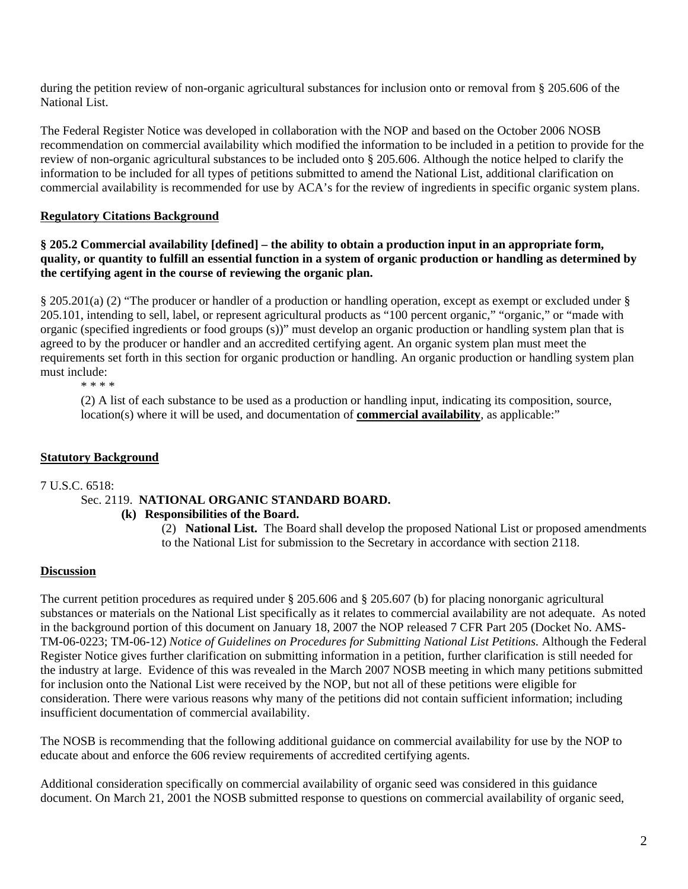during the petition review of non-organic agricultural substances for inclusion onto or removal from § 205.606 of the National List.

The Federal Register Notice was developed in collaboration with the NOP and based on the October 2006 NOSB recommendation on commercial availability which modified the information to be included in a petition to provide for the review of non-organic agricultural substances to be included onto § 205.606. Although the notice helped to clarify the information to be included for all types of petitions submitted to amend the National List, additional clarification on commercial availability is recommended for use by ACA's for the review of ingredients in specific organic system plans.

## **Regulatory Citations Background**

**§ 205.2 Commercial availability [defined] – the ability to obtain a production input in an appropriate form, quality, or quantity to fulfill an essential function in a system of organic production or handling as determined by the certifying agent in the course of reviewing the organic plan.** 

§ 205.201(a) (2) "The producer or handler of a production or handling operation, except as exempt or excluded under § 205.101, intending to sell, label, or represent agricultural products as "100 percent organic," "organic," or "made with organic (specified ingredients or food groups (s))" must develop an organic production or handling system plan that is agreed to by the producer or handler and an accredited certifying agent. An organic system plan must meet the requirements set forth in this section for organic production or handling. An organic production or handling system plan must include:

\* \* \* \*

(2) A list of each substance to be used as a production or handling input, indicating its composition, source, location(s) where it will be used, and documentation of **commercial availability**, as applicable:"

## **Statutory Background**

7 U.S.C. 6518:

## Sec. 2119. **NATIONAL ORGANIC STANDARD BOARD.**

**(k) Responsibilities of the Board.** 

(2) **National List.** The Board shall develop the proposed National List or proposed amendments to the National List for submission to the Secretary in accordance with section 2118.

## **Discussion**

The current petition procedures as required under § 205.606 and § 205.607 (b) for placing nonorganic agricultural substances or materials on the National List specifically as it relates to commercial availability are not adequate. As noted in the background portion of this document on January 18, 2007 the NOP released 7 CFR Part 205 (Docket No. AMS-TM-06-0223; TM-06-12) *Notice of Guidelines on Procedures for Submitting National List Petitions.* Although the Federal Register Notice gives further clarification on submitting information in a petition, further clarification is still needed for the industry at large. Evidence of this was revealed in the March 2007 NOSB meeting in which many petitions submitted for inclusion onto the National List were received by the NOP, but not all of these petitions were eligible for consideration. There were various reasons why many of the petitions did not contain sufficient information; including insufficient documentation of commercial availability.

The NOSB is recommending that the following additional guidance on commercial availability for use by the NOP to educate about and enforce the 606 review requirements of accredited certifying agents.

Additional consideration specifically on commercial availability of organic seed was considered in this guidance document. On March 21, 2001 the NOSB submitted response to questions on commercial availability of organic seed,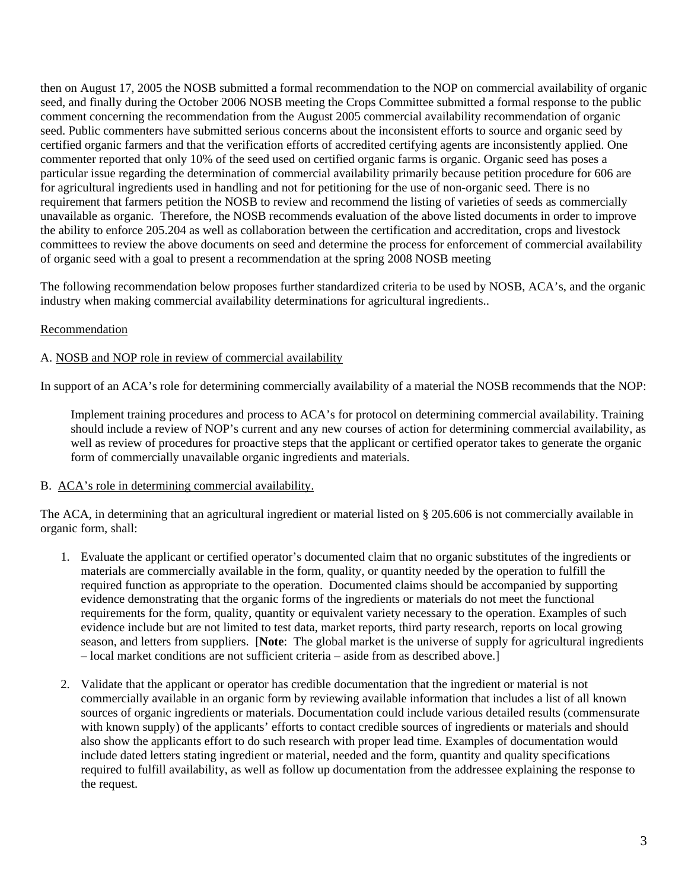then on August 17, 2005 the NOSB submitted a formal recommendation to the NOP on commercial availability of organic seed, and finally during the October 2006 NOSB meeting the Crops Committee submitted a formal response to the public comment concerning the recommendation from the August 2005 commercial availability recommendation of organic seed. Public commenters have submitted serious concerns about the inconsistent efforts to source and organic seed by certified organic farmers and that the verification efforts of accredited certifying agents are inconsistently applied. One commenter reported that only 10% of the seed used on certified organic farms is organic. Organic seed has poses a particular issue regarding the determination of commercial availability primarily because petition procedure for 606 are for agricultural ingredients used in handling and not for petitioning for the use of non-organic seed. There is no requirement that farmers petition the NOSB to review and recommend the listing of varieties of seeds as commercially unavailable as organic. Therefore, the NOSB recommends evaluation of the above listed documents in order to improve the ability to enforce 205.204 as well as collaboration between the certification and accreditation, crops and livestock committees to review the above documents on seed and determine the process for enforcement of commercial availability of organic seed with a goal to present a recommendation at the spring 2008 NOSB meeting

The following recommendation below proposes further standardized criteria to be used by NOSB, ACA's, and the organic industry when making commercial availability determinations for agricultural ingredients..

## Recommendation

## A. NOSB and NOP role in review of commercial availability

In support of an ACA's role for determining commercially availability of a material the NOSB recommends that the NOP:

Implement training procedures and process to ACA's for protocol on determining commercial availability. Training should include a review of NOP's current and any new courses of action for determining commercial availability, as well as review of procedures for proactive steps that the applicant or certified operator takes to generate the organic form of commercially unavailable organic ingredients and materials.

## B. ACA's role in determining commercial availability.

The ACA, in determining that an agricultural ingredient or material listed on § 205.606 is not commercially available in organic form, shall:

- 1. Evaluate the applicant or certified operator's documented claim that no organic substitutes of the ingredients or materials are commercially available in the form, quality, or quantity needed by the operation to fulfill the required function as appropriate to the operation. Documented claims should be accompanied by supporting evidence demonstrating that the organic forms of the ingredients or materials do not meet the functional requirements for the form, quality, quantity or equivalent variety necessary to the operation. Examples of such evidence include but are not limited to test data, market reports, third party research, reports on local growing season, and letters from suppliers. [**Note**: The global market is the universe of supply for agricultural ingredients – local market conditions are not sufficient criteria – aside from as described above.]
- 2. Validate that the applicant or operator has credible documentation that the ingredient or material is not commercially available in an organic form by reviewing available information that includes a list of all known sources of organic ingredients or materials. Documentation could include various detailed results (commensurate with known supply) of the applicants' efforts to contact credible sources of ingredients or materials and should also show the applicants effort to do such research with proper lead time. Examples of documentation would include dated letters stating ingredient or material, needed and the form, quantity and quality specifications required to fulfill availability, as well as follow up documentation from the addressee explaining the response to the request.